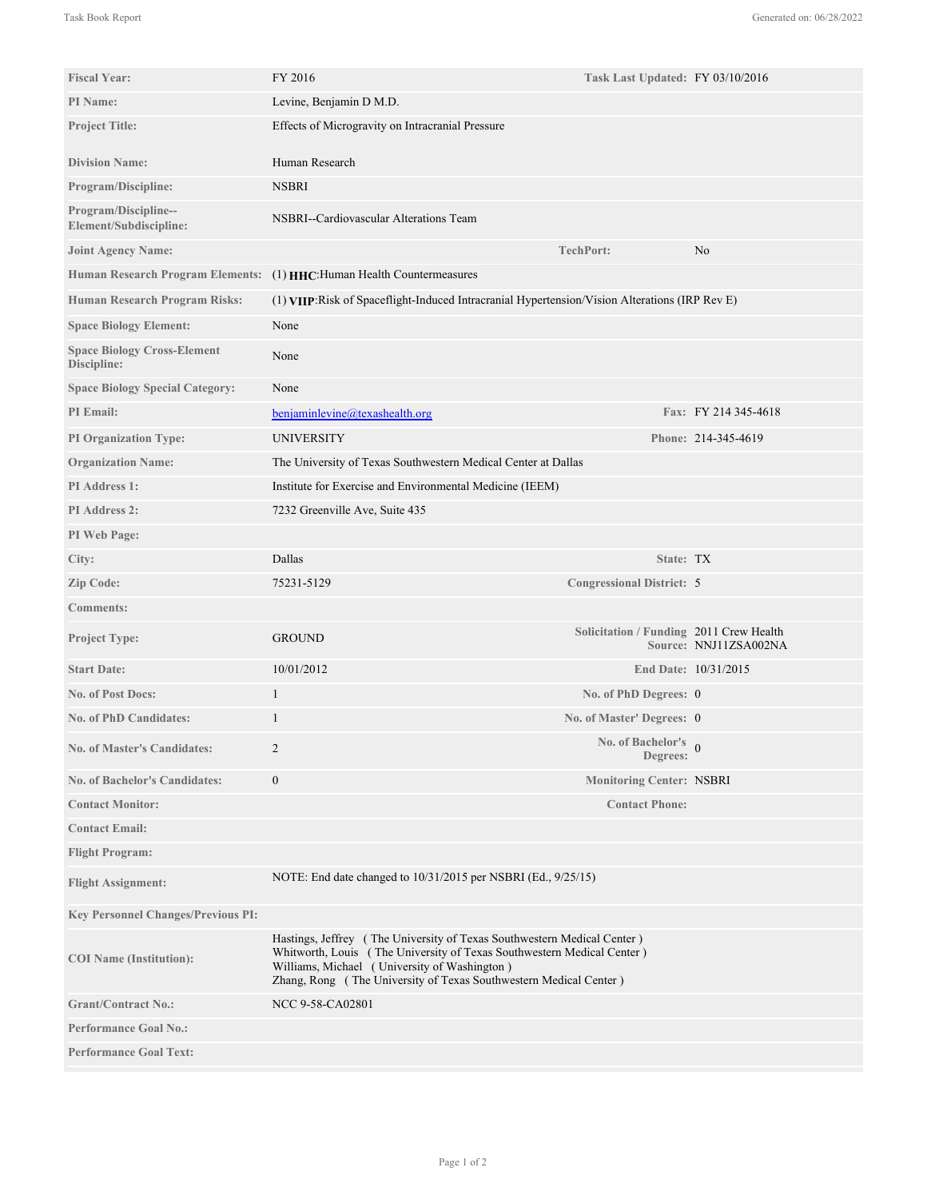| <b>Fiscal Year:</b>                               | FY 2016                                                                                                                                                                                                                                                                | Task Last Updated: FY 03/10/2016        |                       |
|---------------------------------------------------|------------------------------------------------------------------------------------------------------------------------------------------------------------------------------------------------------------------------------------------------------------------------|-----------------------------------------|-----------------------|
| <b>PI</b> Name:                                   | Levine, Benjamin D M.D.                                                                                                                                                                                                                                                |                                         |                       |
| <b>Project Title:</b>                             | Effects of Microgravity on Intracranial Pressure                                                                                                                                                                                                                       |                                         |                       |
|                                                   |                                                                                                                                                                                                                                                                        |                                         |                       |
| <b>Division Name:</b>                             | Human Research                                                                                                                                                                                                                                                         |                                         |                       |
| <b>Program/Discipline:</b>                        | <b>NSBRI</b>                                                                                                                                                                                                                                                           |                                         |                       |
| Program/Discipline--<br>Element/Subdiscipline:    | NSBRI--Cardiovascular Alterations Team                                                                                                                                                                                                                                 |                                         |                       |
| <b>Joint Agency Name:</b>                         |                                                                                                                                                                                                                                                                        | <b>TechPort:</b>                        | N <sub>0</sub>        |
| <b>Human Research Program Elements:</b>           | (1) HHC: Human Health Countermeasures                                                                                                                                                                                                                                  |                                         |                       |
| <b>Human Research Program Risks:</b>              | (1) VIIP: Risk of Spaceflight-Induced Intracranial Hypertension/Vision Alterations (IRP Rev E)                                                                                                                                                                         |                                         |                       |
| <b>Space Biology Element:</b>                     | None                                                                                                                                                                                                                                                                   |                                         |                       |
| <b>Space Biology Cross-Element</b><br>Discipline: | None                                                                                                                                                                                                                                                                   |                                         |                       |
| <b>Space Biology Special Category:</b>            | None                                                                                                                                                                                                                                                                   |                                         |                       |
| PI Email:                                         | benjaminlevine@texashealth.org                                                                                                                                                                                                                                         |                                         | Fax: FY 214 345-4618  |
| PI Organization Type:                             | <b>UNIVERSITY</b>                                                                                                                                                                                                                                                      |                                         | Phone: 214-345-4619   |
| <b>Organization Name:</b>                         | The University of Texas Southwestern Medical Center at Dallas                                                                                                                                                                                                          |                                         |                       |
| PI Address 1:                                     | Institute for Exercise and Environmental Medicine (IEEM)                                                                                                                                                                                                               |                                         |                       |
| <b>PI Address 2:</b>                              | 7232 Greenville Ave, Suite 435                                                                                                                                                                                                                                         |                                         |                       |
| PI Web Page:                                      |                                                                                                                                                                                                                                                                        |                                         |                       |
| City:                                             | Dallas                                                                                                                                                                                                                                                                 | State: TX                               |                       |
| Zip Code:                                         | 75231-5129                                                                                                                                                                                                                                                             | <b>Congressional District: 5</b>        |                       |
| <b>Comments:</b>                                  |                                                                                                                                                                                                                                                                        |                                         |                       |
| Project Type:                                     | <b>GROUND</b>                                                                                                                                                                                                                                                          | Solicitation / Funding 2011 Crew Health | Source: NNJ11ZSA002NA |
| <b>Start Date:</b>                                | 10/01/2012                                                                                                                                                                                                                                                             |                                         | End Date: 10/31/2015  |
| <b>No. of Post Docs:</b>                          | 1                                                                                                                                                                                                                                                                      | No. of PhD Degrees: 0                   |                       |
| <b>No. of PhD Candidates:</b>                     | 1                                                                                                                                                                                                                                                                      | No. of Master' Degrees: 0               |                       |
| <b>No. of Master's Candidates:</b>                | $\overline{c}$                                                                                                                                                                                                                                                         | No. of Bachelor's $_0$<br>Degrees:      |                       |
| <b>No. of Bachelor's Candidates:</b>              | $\boldsymbol{0}$                                                                                                                                                                                                                                                       | <b>Monitoring Center: NSBRI</b>         |                       |
| <b>Contact Monitor:</b>                           |                                                                                                                                                                                                                                                                        | <b>Contact Phone:</b>                   |                       |
| <b>Contact Email:</b>                             |                                                                                                                                                                                                                                                                        |                                         |                       |
| <b>Flight Program:</b>                            |                                                                                                                                                                                                                                                                        |                                         |                       |
| <b>Flight Assignment:</b>                         | NOTE: End date changed to 10/31/2015 per NSBRI (Ed., 9/25/15)                                                                                                                                                                                                          |                                         |                       |
| <b>Key Personnel Changes/Previous PI:</b>         |                                                                                                                                                                                                                                                                        |                                         |                       |
| <b>COI</b> Name (Institution):                    | Hastings, Jeffrey (The University of Texas Southwestern Medical Center)<br>Whitworth, Louis (The University of Texas Southwestern Medical Center)<br>Williams, Michael (University of Washington)<br>Zhang, Rong (The University of Texas Southwestern Medical Center) |                                         |                       |
| <b>Grant/Contract No.:</b>                        | NCC 9-58-CA02801                                                                                                                                                                                                                                                       |                                         |                       |
| <b>Performance Goal No.:</b>                      |                                                                                                                                                                                                                                                                        |                                         |                       |
| <b>Performance Goal Text:</b>                     |                                                                                                                                                                                                                                                                        |                                         |                       |